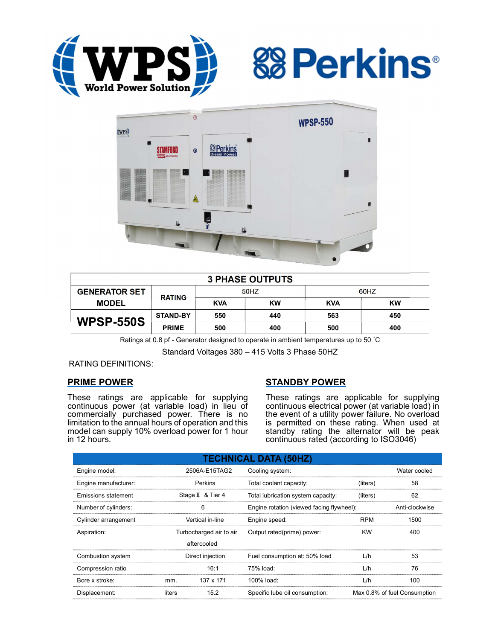





| <b>3 PHASE OUTPUTS</b> |                 |            |           |            |           |  |
|------------------------|-----------------|------------|-----------|------------|-----------|--|
| <b>GENERATOR SET</b>   | <b>RATING</b>   | 50HZ       |           | 60HZ       |           |  |
| <b>MODEL</b>           |                 | <b>KVA</b> | <b>KW</b> | <b>KVA</b> | <b>KW</b> |  |
| <b>WPSP-550S</b>       | <b>STAND-BY</b> | 550        | 440       | 563        | 450       |  |
|                        | <b>PRIME</b>    | 500        | 400       | 500        | 400       |  |

Ratings at 0.8 pf - Generator designed to operate in ambient temperatures up to 50 °C

Standard Voltages 380 – 415 Volts 3 Phase 50HZ

RATING DEFINITIONS:

## PRIME POWER

These ratings are applicable for supplying continuous power (at variable load) in lieu of commercially purchased power. There is no limitation to the annual hours of operation and this model can supply 10% overload power for 1 hour in 12 hours.

# STANDBY POWER

These ratings are applicable for supplying continuous electrical power (at variable load) in the event of a utility power failure. No overload is permitted on these rating. When used at standby rating the alternator will be peak continuous rated (according to ISO3046)

| <b>TECHNICAL DATA (50HZ)</b> |                   |                         |                                           |              |                              |  |
|------------------------------|-------------------|-------------------------|-------------------------------------------|--------------|------------------------------|--|
| Engine model:                | 2506A-E15TAG2     |                         | Cooling system:                           | Water cooled |                              |  |
| Engine manufacturer:         | Perkins           |                         | Total coolant capacity:                   | (liters)     | 58                           |  |
| Emissions statement          | Stage II & Tier 4 |                         | Total lubrication system capacity:        | (liters)     | 62                           |  |
| Number of cylinders:         | 6                 |                         | Engine rotation (viewed facing flywheel): |              | Anti-clockwise               |  |
| Cylinder arrangement         | Vertical in-line  |                         | Engine speed:                             | <b>RPM</b>   | 1500                         |  |
| Aspiration:                  |                   | Turbocharged air to air | Output rated(prime) power:                | <b>KW</b>    | 400                          |  |
|                              |                   | aftercooled             |                                           |              |                              |  |
| Combustion system            | Direct injection  |                         | Fuel consumption at: 50% load             | L/h          | 53                           |  |
| Compression ratio            |                   | 16:1                    | 75% load:                                 | L/h          | 76                           |  |
| Bore x stroke:               | mm.               | 137 x 171               | 100% load:                                | L/h          | 100                          |  |
| Displacement:                | liters            | 15.2                    | Specific lube oil consumption:            |              | Max 0.8% of fuel Consumption |  |